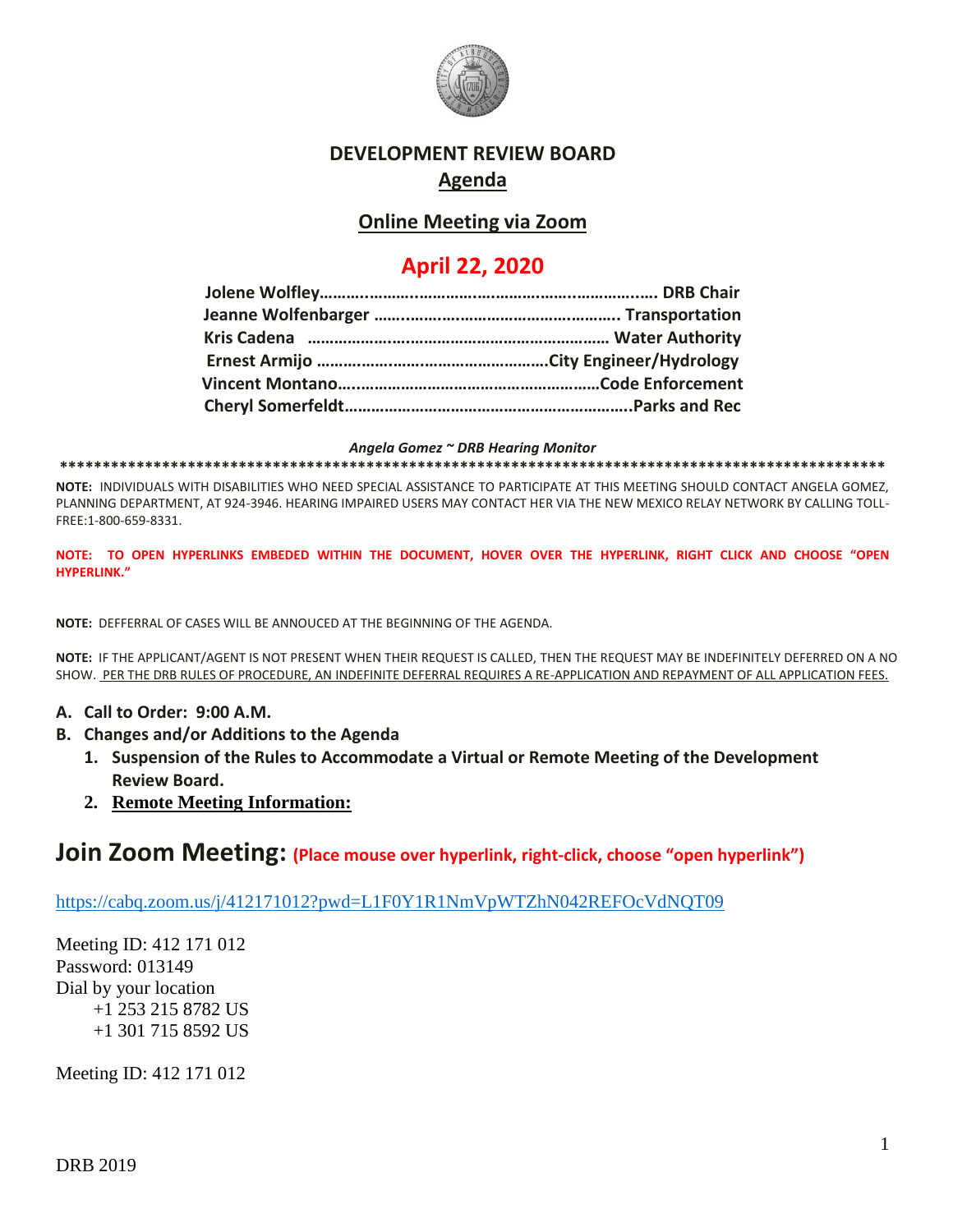

#### **DEVELOPMENT REVIEW BOARD Agenda**

## **Online Meeting via Zoom**

# **April 22, 2020**

#### *Angela Gomez ~ DRB Hearing Monitor*

**\*\*\*\*\*\*\*\*\*\*\*\*\*\*\*\*\*\*\*\*\*\*\*\*\*\*\*\*\*\*\*\*\*\*\*\*\*\*\*\*\*\*\*\*\*\*\*\*\*\*\*\*\*\*\*\*\*\*\*\*\*\*\*\*\*\*\*\*\*\*\*\*\*\*\*\*\*\*\*\*\*\*\*\*\*\*\*\*\*\*\*\*\*\*\*\*\***

**NOTE:** INDIVIDUALS WITH DISABILITIES WHO NEED SPECIAL ASSISTANCE TO PARTICIPATE AT THIS MEETING SHOULD CONTACT ANGELA GOMEZ, PLANNING DEPARTMENT, AT 924-3946. HEARING IMPAIRED USERS MAY CONTACT HER VIA THE NEW MEXICO RELAY NETWORK BY CALLING TOLL-FREE:1-800-659-8331.

**NOTE: TO OPEN HYPERLINKS EMBEDED WITHIN THE DOCUMENT, HOVER OVER THE HYPERLINK, RIGHT CLICK AND CHOOSE "OPEN HYPERLINK."**

**NOTE:** DEFFERRAL OF CASES WILL BE ANNOUCED AT THE BEGINNING OF THE AGENDA.

**NOTE:** IF THE APPLICANT/AGENT IS NOT PRESENT WHEN THEIR REQUEST IS CALLED, THEN THE REQUEST MAY BE INDEFINITELY DEFERRED ON A NO SHOW. PER THE DRB RULES OF PROCEDURE, AN INDEFINITE DEFERRAL REQUIRES A RE-APPLICATION AND REPAYMENT OF ALL APPLICATION FEES.

- **A. Call to Order: 9:00 A.M.**
- **B. Changes and/or Additions to the Agenda**
	- **1. Suspension of the Rules to Accommodate a Virtual or Remote Meeting of the Development Review Board.**
	- **2. Remote Meeting Information:**

### **Join Zoom Meeting: (Place mouse over hyperlink, right-click, choose "open hyperlink")**

<https://cabq.zoom.us/j/412171012?pwd=L1F0Y1R1NmVpWTZhN042REFOcVdNQT09>

Meeting ID: 412 171 012 Password: 013149 Dial by your location +1 253 215 8782 US +1 301 715 8592 US

Meeting ID: 412 171 012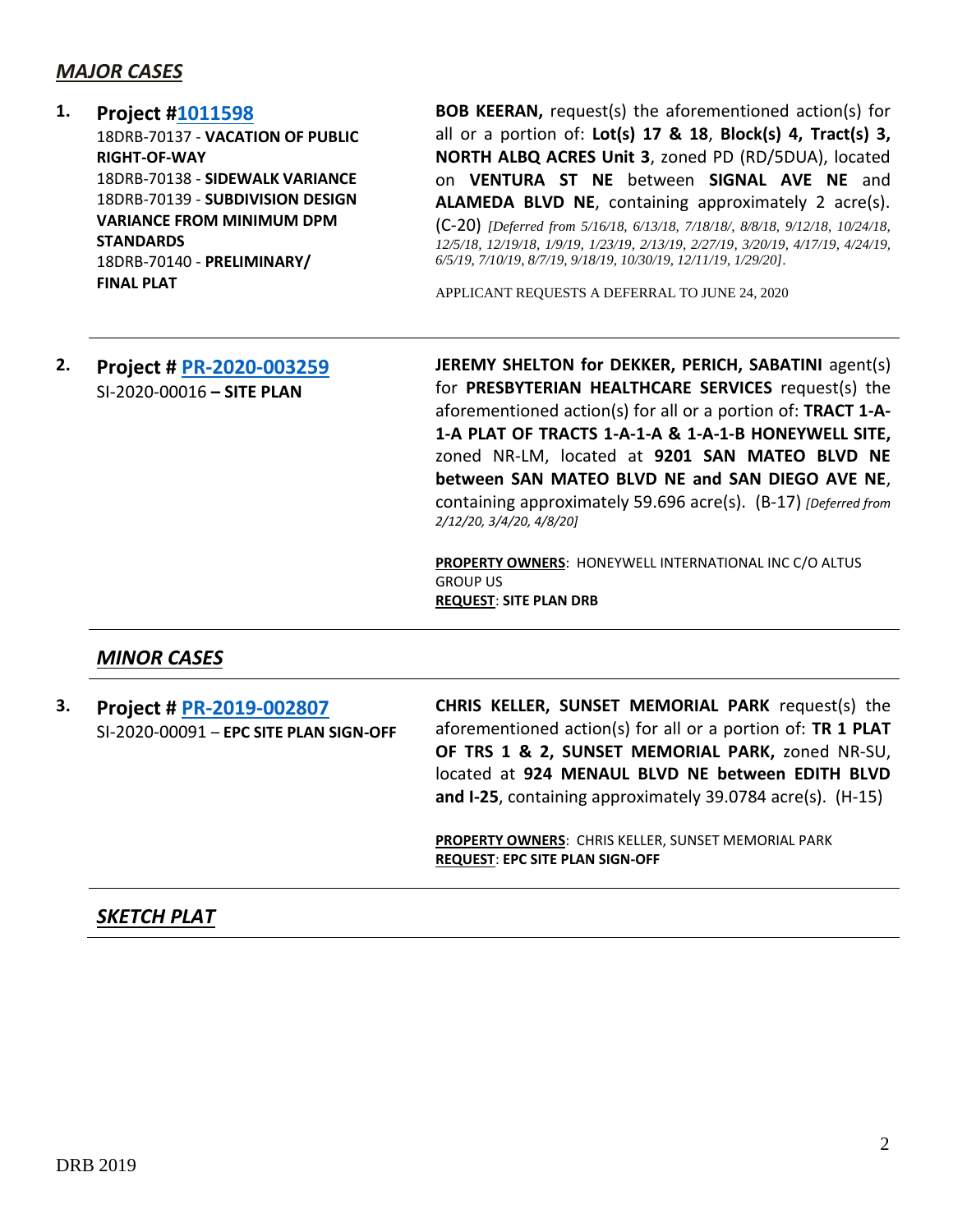#### *MAJOR CASES*

#### **1. Project [#1011598](http://data.cabq.gov/government/planning/DRB/1011598/1011598_DRB%20Submittals/)**

18DRB-70137 - **VACATION OF PUBLIC RIGHT-OF-WAY** 18DRB-70138 - **SIDEWALK VARIANCE** 18DRB-70139 - **SUBDIVISION DESIGN VARIANCE FROM MINIMUM DPM STANDARDS** 18DRB-70140 - **PRELIMINARY/ FINAL PLAT**

**BOB KEERAN,** request(s) the aforementioned action(s) for all or a portion of: **Lot(s) 17 & 18**, **Block(s) 4, Tract(s) 3, NORTH ALBQ ACRES Unit 3**, zoned PD (RD/5DUA), located on **VENTURA ST NE** between **SIGNAL AVE NE** and **ALAMEDA BLVD NE**, containing approximately 2 acre(s). (C-20) *[Deferred from 5/16/18, 6/13/18, 7/18/18/, 8/8/18, 9/12/18, 10/24/18, 12/5/18, 12/19/18, 1/9/19, 1/23/19, 2/13/19, 2/27/19, 3/20/19, 4/17/19, 4/24/19, 6/5/19, 7/10/19, 8/7/19, 9/18/19, 10/30/19, 12/11/19, 1/29/20].*

APPLICANT REQUESTS A DEFERRAL TO JUNE 24, 2020

#### **2. Project # [PR-2020-003259](http://data.cabq.gov/government/planning/DRB/PR-2020-003259/DRB%20Submittals/PR-2020-003259_Feb_12_2020/Application/)** SI-2020-00016 **– SITE PLAN**

**JEREMY SHELTON for DEKKER, PERICH, SABATINI** agent(s) for **PRESBYTERIAN HEALTHCARE SERVICES** request(s) the aforementioned action(s) for all or a portion of: **TRACT 1-A-1-A PLAT OF TRACTS 1-A-1-A & 1-A-1-B HONEYWELL SITE,** zoned NR-LM, located at **9201 SAN MATEO BLVD NE between SAN MATEO BLVD NE and SAN DIEGO AVE NE**, containing approximately 59.696 acre(s). (B-17) *[Deferred from 2/12/20, 3/4/20, 4/8/20]*

**PROPERTY OWNERS**: HONEYWELL INTERNATIONAL INC C/O ALTUS GROUP US **REQUEST**: **SITE PLAN DRB**

### *MINOR CASES*

**3. Project # [PR-2019-002807](http://data.cabq.gov/government/planning/DRB/PR-2019-002807/DRB%20Submittals/PR-2019-002807_Apr_22_2020/Application/PR-2019-002807.pdf)** SI-2020-00091 – **EPC SITE PLAN SIGN-OFF CHRIS KELLER, SUNSET MEMORIAL PARK** request(s) the aforementioned action(s) for all or a portion of: **TR 1 PLAT OF TRS 1 & 2, SUNSET MEMORIAL PARK,** zoned NR-SU, located at **924 MENAUL BLVD NE between EDITH BLVD and I-25**, containing approximately 39.0784 acre(s). (H-15)

> **PROPERTY OWNERS**: CHRIS KELLER, SUNSET MEMORIAL PARK **REQUEST**: **EPC SITE PLAN SIGN-OFF**

### *SKETCH PLAT*